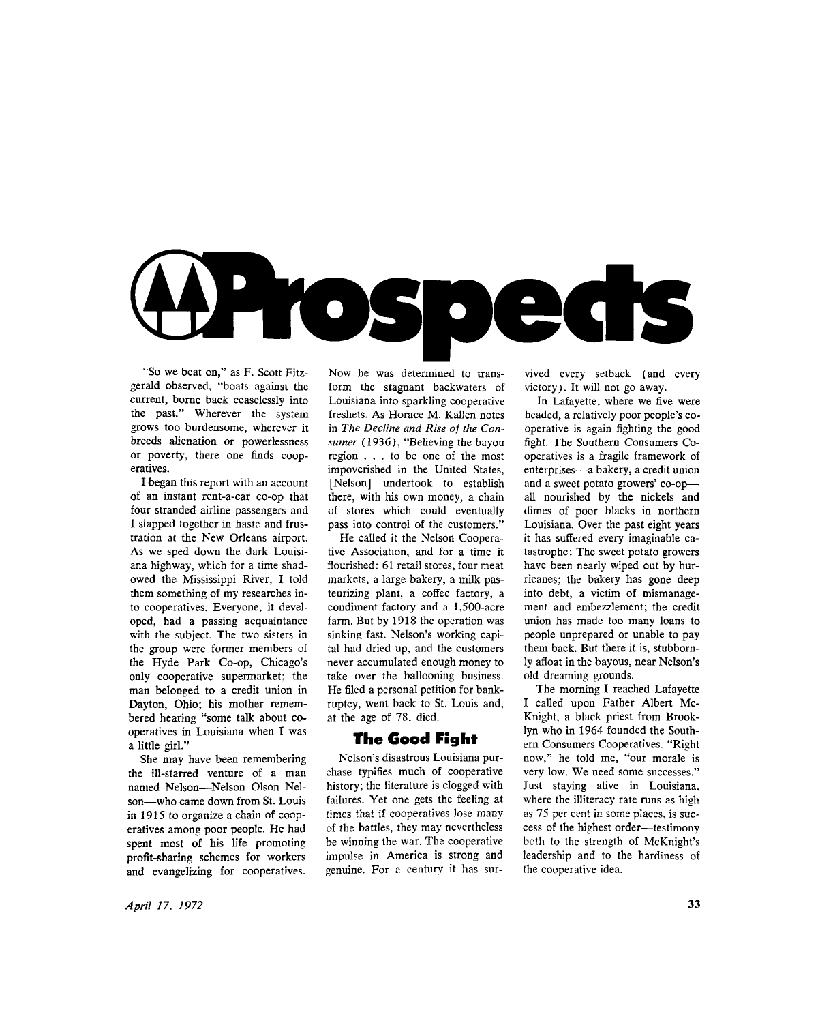

"So we beat on," as F. Scott Fitzgerald observed, "boats against the current, borne back ceaselessly into the past." Wherever the system grows too burdensome, wherever it breeds alienation or powerlessness or poverty, there one finds cooperatives.

I began this report with an account of an instant rent-a-car co-op that four stranded airline passengers and I slapped together in haste and frustration at the New Orleans airport. As we sped down the dark Louisiana highway, which for a time shadowed the Mississippi River, I told them something of my researches into cooperatives. Everyone, it developed, had a passing acquaintance with the subject. The two sisters in the group were former members of the Hyde Park Co-op, Chicago's only cooperative supermarket; the man belonged to a credit union in Dayton, Ohio; his mother remembered hearing "some talk about cooperatives in Louisiana when I was a little girl."

She may have been remembering the ill-starred venture of a man named Nelson—Nelson Olson Nelson—who came down from St. Louis in 1915 to organize a chain of cooperatives among poor people. He had spent most of his life promoting profit-sharing schemes for workers and evangelizing for cooperatives.

Now he was determined to transform the stagnant backwaters of Louisiana into sparkling cooperative freshets. As Horace M. Kallen notes in *The Decline and Rise of the Consumer* (1936), "Believing the bayou region .. . to be one of the most impoverished in the United States, [Nelson] undertook to establish there, with his own money, a chain of stores which could eventually pass into control of the customers."

He called it the Nelson Cooperative Association, and for a time it flourished: 61 retail stores, four meat markets, a large bakery, a milk pasteurizing plant, a coffee factory, a condiment factory and a 1,500-acre farm. But by 1918 the operation was sinking fast. Nelson's working capital had dried up, and the customers never accumulated enough money to take over the ballooning business. He filed a personal petition for bankruptcy, went back to St. Louis and, at the age of 78, died.

#### **The Good Fight**

Nelson's disastrous Louisiana purchase typifies much of cooperative history; the literature is clogged with failures. Yet one gets the feeling at times that if cooperatives lose many of the battles, they may nevertheless be winning the war. The cooperative impulse in America is strong and genuine. For a century it has survived every setback (and every victory). It will not go away.

In Lafayette, where we five were headed, a relatively poor people's cooperative is again fighting the good fight. The Southern Consumers Cooperatives is a fragile framework of enterprises—a bakery, a credit union and a sweet potato growers' co-opall nourished by the nickels and dimes of poor blacks in northern Louisiana. Over the past eight years it has suffered every imaginable catastrophe: The sweet potato growers have been nearly wiped out by hurricanes; the bakery has gone deep into debt, a victim of mismanagement and embezzlement; the credit union has made too many loans to people unprepared or unable to pay them back. But there it is, stubbornly afloat in the bayous, near Nelson's old dreaming grounds.

The morning I reached Lafayette I called upon Father Albert Mc-Knight, a black priest from Brooklyn who in 1964 founded the Southern Consumers Cooperatives. "Right now," he told me, "our morale is very low. We need some successes." Just staying alive in Louisiana, where the illiteracy rate runs as high as 75 per cent in some places, is success of the highest order—testimony both to the strength of McKnight's leadership and to the hardiness of the cooperative idea.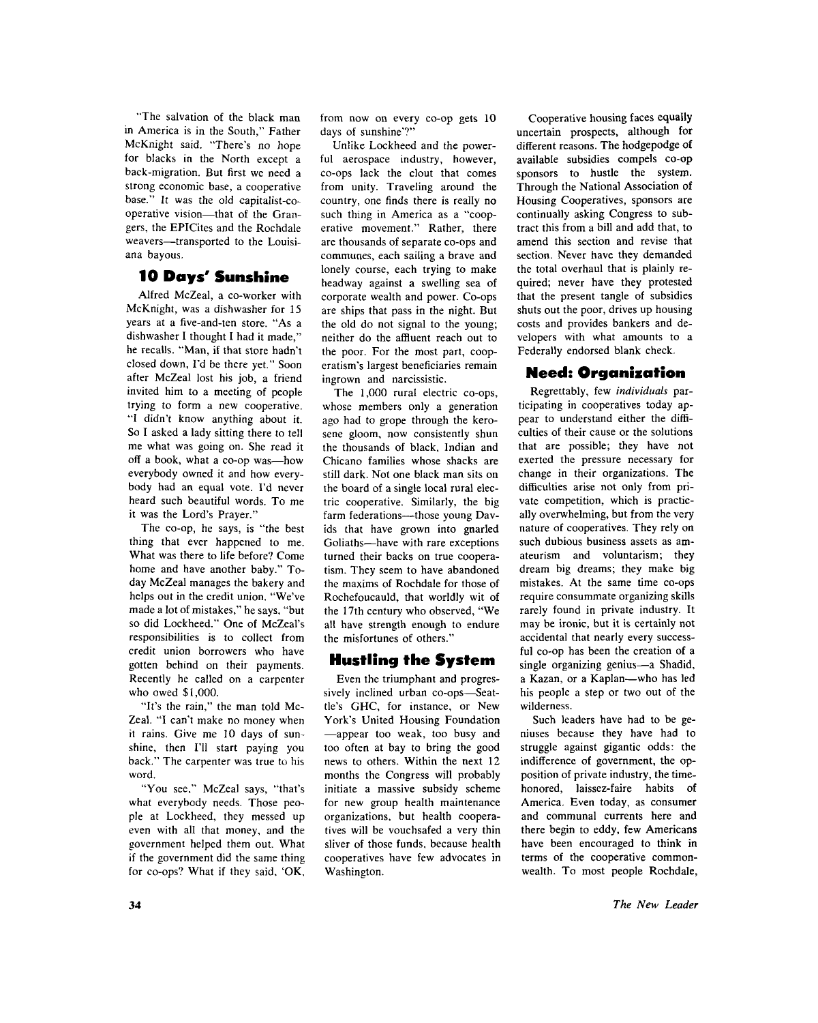"The salvation of the black man in America is in the South," Father McKnight said. "There's no hope for blacks in the North except a back-migration. But first we need a strong economic base, a cooperative base." It was the old capitalist-cooperative vision—that of the Grangers, the EPICites and the Rochdale weavers—transported to the Louisiana bayous.

# 10 Days' Sunshine

Alfred McZeal, a co-worker with McKnight, was a dishwasher for 15 years at a five-and-ten store. "As a dishwasher I thought I had it made," he recalls. "Man, if that store hadn't closed down, I'd be there yet." Soon after McZeal lost his job, a friend invited him to a meeting of people trying to form a new cooperative. "I didn't know anything about it. So I asked a lady sitting there to tell me what was going on. She read it off a book, what a co-op was—how everybody owned it and how everybody had an equal vote. I'd never heard such beautiful words. To me it was the Lord's Prayer."

The co-op, he says, is "the best thing that ever happened to me. What was there to life before? Come home and have another baby." Today McZeal manages the bakery and helps out in the credit union. "We've made a lot of mistakes," he says, "but so did Lockheed." One of McZeal's responsibilities is to collect from credit union borrowers who have gotten behind on their payments. Recently he called on a carpenter who owed \$1,000.

"It's the rain," the man told Mc-Zeal. "I can't make no money when it rains. Give me 10 days of sunshine, then I'll start paying you back." The carpenter was true to his word.

"You see," McZeal says, "that's what everybody needs. Those people at Lockheed, they messed up even with all that money, and the government helped them out. What if the government did the same thing for co-ops? What if they said. 'OK , from now on every co-op gets 10 days of sunshine'?"

Unlike Lockheed and the powerful aerospace industry, however, co-ops lack the clout that comes from unity. Traveling around the country, one finds there is really no such thing in America as a "cooperative movement." Rather, there are thousands of separate co-ops and communes, each sailing a brave and lonely course, each trying to make headway against a swelling sea of corporate wealth and power. Co-ops are ships that pass in the night. But the old do not signal to the young; neither do the affluent reach out to the poor. For the most part, cooperatism's largest beneficiaries remain ingrown and narcissistic.

The 1,000 rural electric co-ops, whose members only a generation ago had to grope through the kerosene gloom, now consistently shun the thousands of black, Indian and Chicano families whose shacks are still dark. Not one black man sits on the board of a single local rural electric cooperative. Similarly, the big farm federations—those young Davids that have grown into gnarled Goliaths—have with rare exceptions turned their backs on true cooperatism. They seem to have abandoned the maxims of Rochdale for those of Rochefoucauld, that worldly wit of the 17th century who observed, "We all have strength enough to endure the misfortunes of others."

### **Hustling the System**

Even the triumphant and progressively inclined urban co-ops—Seattle's GHC, for instance, or New York's United Housing Foundation —appear too weak, too busy and too often at bay to bring the good news to others. Within the next 12 months the Congress will probably initiate a massive subsidy scheme for new group health maintenance organizations, but health cooperatives will be vouchsafed a very thin sliver of those funds, because health cooperatives have few advocates in Washington.

Cooperative housing faces equally uncertain prospects, although for different reasons. The hodgepodge of available subsidies compels co-op sponsors to hustle the system. Through the National Association of Housing Cooperatives, sponsors are continually asking Congress to subtract this from a bill and add that, to amend this section and revise that section. Never have they demanded the total overhaul that is plainly required; never have they protested that the present tangle of subsidies shuts out the poor, drives up housing costs and provides bankers and developers with what amounts to a Federally endorsed blank check.

# Need: Organisation

Regrettably, few *individuals* participating in cooperatives today appear to understand either the difficulties of their cause or the solutions that are possible; they have not exerted the pressure necessary for change in their organizations. The difficulties arise not only from private competition, which is practically overwhelming, but from the very nature of cooperatives. They rely on such dubious business assets as amateurism and voluntarism; they dream big dreams; they make big mistakes. At the same time co-ops require consummate organizing skills rarely found in private industry. It may be ironic, but it is certainly not accidental that nearly every successful co-op has been the creation of a single organizing genius—a Shadid, a Kazan, or a Kaplan—who has led his people a step or two out of the wilderness.

Such leaders have had to be geniuses because they have had to struggle against gigantic odds: the indifference of government, the opposition of private industry, the timehonored, laissez-faire habits of America. Even today, as consumer and communal currents here and there begin to eddy, few Americans have been encouraged to think in terms of the cooperative commonwealth. To most people Rochdale,